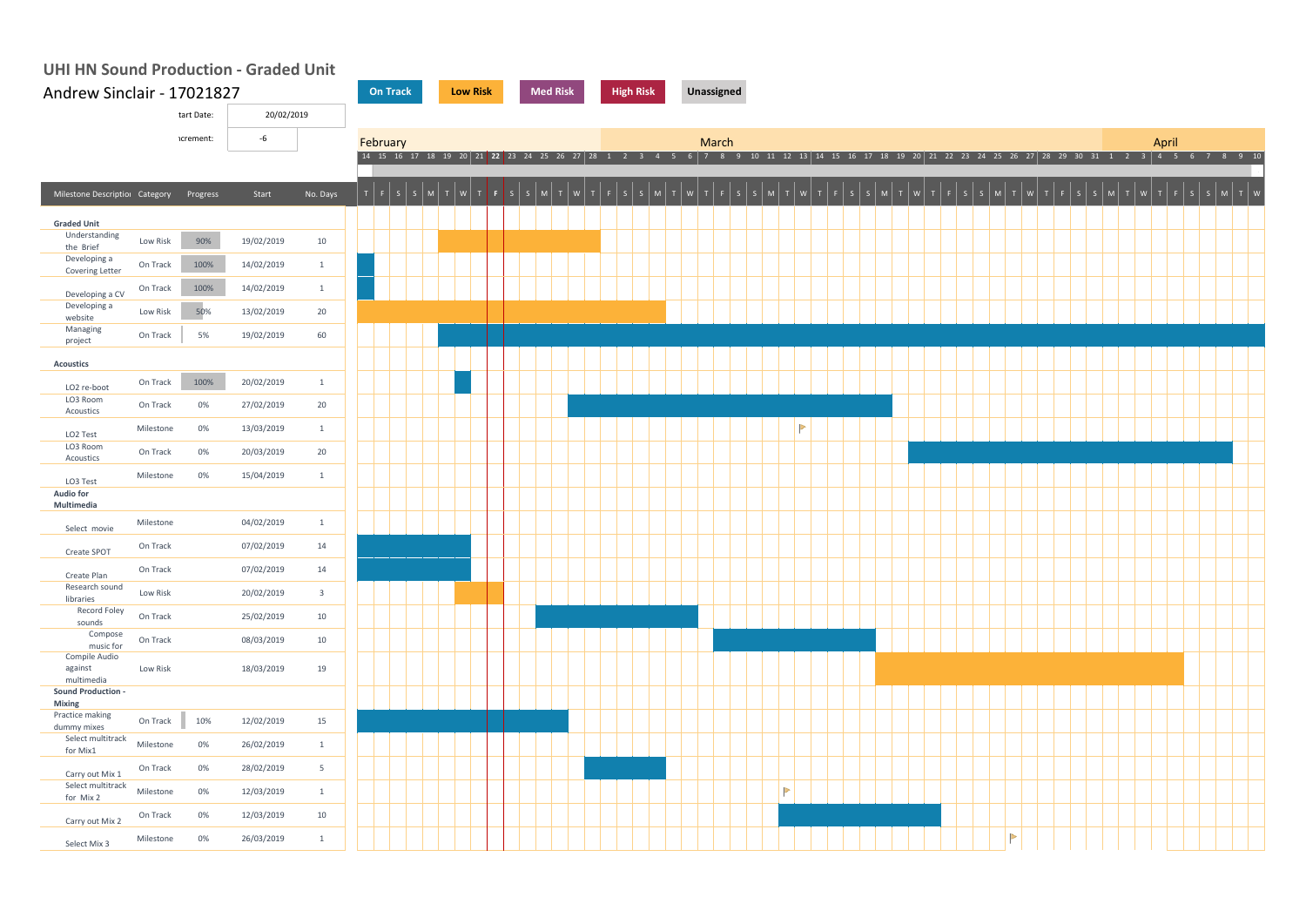## **UHI HN Sound Production - Graded Unit**

| Andrew Sinclair - 17021827          |           |          |            |                         |  | <b>On Track</b> |  | <b>Low Risk</b> |  |  | <b>Med Risk</b>                                                |       |  | <b>High Risk</b> |  |  | Unassigned |  |  |                  |  |  |  |  |  |  |  |                                                                                 |  |  |       |                |  |                    |  |  |  |
|-------------------------------------|-----------|----------|------------|-------------------------|--|-----------------|--|-----------------|--|--|----------------------------------------------------------------|-------|--|------------------|--|--|------------|--|--|------------------|--|--|--|--|--|--|--|---------------------------------------------------------------------------------|--|--|-------|----------------|--|--------------------|--|--|--|
| 20/02/2019<br>tart Date:            |           |          |            |                         |  |                 |  |                 |  |  |                                                                |       |  |                  |  |  |            |  |  |                  |  |  |  |  |  |  |  |                                                                                 |  |  |       |                |  |                    |  |  |  |
| -6<br><i>crement:</i>               |           |          | February   |                         |  |                 |  |                 |  |  |                                                                | March |  |                  |  |  |            |  |  |                  |  |  |  |  |  |  |  |                                                                                 |  |  | April |                |  |                    |  |  |  |
|                                     |           |          |            |                         |  |                 |  |                 |  |  | 14 15 16 17 18 19 20   21   22   23 24 25 26 27   28 1 2 3 4 5 |       |  |                  |  |  | 6          |  |  |                  |  |  |  |  |  |  |  | 7 8 9 10 11 12 13   14 15 16 17 18 19 20   21 22 23 24 25 26 27   28 29 30 31 1 |  |  |       | $\overline{2}$ |  | 3   4 5 6 7 8 9 10 |  |  |  |
| Milestone Descriptio Category       |           | Progress | Start      | No. Days                |  |                 |  |                 |  |  |                                                                |       |  |                  |  |  |            |  |  |                  |  |  |  |  |  |  |  |                                                                                 |  |  |       |                |  |                    |  |  |  |
|                                     |           |          |            |                         |  |                 |  |                 |  |  |                                                                |       |  |                  |  |  |            |  |  |                  |  |  |  |  |  |  |  |                                                                                 |  |  |       |                |  |                    |  |  |  |
| <b>Graded Unit</b><br>Understanding |           |          |            |                         |  |                 |  |                 |  |  |                                                                |       |  |                  |  |  |            |  |  |                  |  |  |  |  |  |  |  |                                                                                 |  |  |       |                |  |                    |  |  |  |
| the Brief                           | Low Risk  | 90%      | 19/02/2019 | $10\,$                  |  |                 |  |                 |  |  |                                                                |       |  |                  |  |  |            |  |  |                  |  |  |  |  |  |  |  |                                                                                 |  |  |       |                |  |                    |  |  |  |
| Developing a<br>Covering Letter     | On Track  | 100%     | 14/02/2019 | $1\,$                   |  |                 |  |                 |  |  |                                                                |       |  |                  |  |  |            |  |  |                  |  |  |  |  |  |  |  |                                                                                 |  |  |       |                |  |                    |  |  |  |
| Developing a CV                     | On Track  | 100%     | 14/02/2019 | $1\,$                   |  |                 |  |                 |  |  |                                                                |       |  |                  |  |  |            |  |  |                  |  |  |  |  |  |  |  |                                                                                 |  |  |       |                |  |                    |  |  |  |
| Developing a<br>website             | Low Risk  | 50%      | 13/02/2019 | 20                      |  |                 |  |                 |  |  |                                                                |       |  |                  |  |  |            |  |  |                  |  |  |  |  |  |  |  |                                                                                 |  |  |       |                |  |                    |  |  |  |
| Managing<br>project                 | On Track  | 5%       | 19/02/2019 | 60                      |  |                 |  |                 |  |  |                                                                |       |  |                  |  |  |            |  |  |                  |  |  |  |  |  |  |  |                                                                                 |  |  |       |                |  |                    |  |  |  |
|                                     |           |          |            |                         |  |                 |  |                 |  |  |                                                                |       |  |                  |  |  |            |  |  |                  |  |  |  |  |  |  |  |                                                                                 |  |  |       |                |  |                    |  |  |  |
| <b>Acoustics</b>                    | On Track  | 100%     | 20/02/2019 | $\mathbf{1}$            |  |                 |  |                 |  |  |                                                                |       |  |                  |  |  |            |  |  |                  |  |  |  |  |  |  |  |                                                                                 |  |  |       |                |  |                    |  |  |  |
| LO2 re-boot<br>LO3 Room             | On Track  | 0%       |            |                         |  |                 |  |                 |  |  |                                                                |       |  |                  |  |  |            |  |  |                  |  |  |  |  |  |  |  |                                                                                 |  |  |       |                |  |                    |  |  |  |
| Acoustics                           |           |          | 27/02/2019 | 20                      |  |                 |  |                 |  |  |                                                                |       |  |                  |  |  |            |  |  |                  |  |  |  |  |  |  |  |                                                                                 |  |  |       |                |  |                    |  |  |  |
| LO2 Test<br>LO3 Room                | Milestone | 0%       | 13/03/2019 | $\mathbf{1}$            |  |                 |  |                 |  |  |                                                                |       |  |                  |  |  |            |  |  |                  |  |  |  |  |  |  |  |                                                                                 |  |  |       |                |  |                    |  |  |  |
| Acoustics                           | On Track  | 0%       | 20/03/2019 | 20                      |  |                 |  |                 |  |  |                                                                |       |  |                  |  |  |            |  |  |                  |  |  |  |  |  |  |  |                                                                                 |  |  |       |                |  |                    |  |  |  |
| LO3 Test                            | Milestone | 0%       | 15/04/2019 | $1\,$                   |  |                 |  |                 |  |  |                                                                |       |  |                  |  |  |            |  |  |                  |  |  |  |  |  |  |  |                                                                                 |  |  |       |                |  |                    |  |  |  |
| <b>Audio for</b><br>Multimedia      |           |          |            |                         |  |                 |  |                 |  |  |                                                                |       |  |                  |  |  |            |  |  |                  |  |  |  |  |  |  |  |                                                                                 |  |  |       |                |  |                    |  |  |  |
| Select movie                        | Milestone |          | 04/02/2019 | $\mathbf{1}$            |  |                 |  |                 |  |  |                                                                |       |  |                  |  |  |            |  |  |                  |  |  |  |  |  |  |  |                                                                                 |  |  |       |                |  |                    |  |  |  |
| Create SPOT                         | On Track  |          | 07/02/2019 | 14                      |  |                 |  |                 |  |  |                                                                |       |  |                  |  |  |            |  |  |                  |  |  |  |  |  |  |  |                                                                                 |  |  |       |                |  |                    |  |  |  |
|                                     | On Track  |          | 07/02/2019 | 14                      |  |                 |  |                 |  |  |                                                                |       |  |                  |  |  |            |  |  |                  |  |  |  |  |  |  |  |                                                                                 |  |  |       |                |  |                    |  |  |  |
| Create Plan<br>Research sound       | Low Risk  |          | 20/02/2019 | $\overline{\mathbf{3}}$ |  |                 |  |                 |  |  |                                                                |       |  |                  |  |  |            |  |  |                  |  |  |  |  |  |  |  |                                                                                 |  |  |       |                |  |                    |  |  |  |
| libraries<br>Record Foley           |           |          |            |                         |  |                 |  |                 |  |  |                                                                |       |  |                  |  |  |            |  |  |                  |  |  |  |  |  |  |  |                                                                                 |  |  |       |                |  |                    |  |  |  |
| sounds<br>Compose                   | On Track  |          | 25/02/2019 | 10                      |  |                 |  |                 |  |  |                                                                |       |  |                  |  |  |            |  |  |                  |  |  |  |  |  |  |  |                                                                                 |  |  |       |                |  |                    |  |  |  |
| music for<br>Compile Audio          | On Track  |          | 08/03/2019 | 10                      |  |                 |  |                 |  |  |                                                                |       |  |                  |  |  |            |  |  |                  |  |  |  |  |  |  |  |                                                                                 |  |  |       |                |  |                    |  |  |  |
| against                             | Low Risk  |          | 18/03/2019 | 19                      |  |                 |  |                 |  |  |                                                                |       |  |                  |  |  |            |  |  |                  |  |  |  |  |  |  |  |                                                                                 |  |  |       |                |  |                    |  |  |  |
| multimedia<br>Sound Production -    |           |          |            |                         |  |                 |  |                 |  |  |                                                                |       |  |                  |  |  |            |  |  |                  |  |  |  |  |  |  |  |                                                                                 |  |  |       |                |  |                    |  |  |  |
| Mixing<br>Practice making           |           |          |            |                         |  |                 |  |                 |  |  |                                                                |       |  |                  |  |  |            |  |  |                  |  |  |  |  |  |  |  |                                                                                 |  |  |       |                |  |                    |  |  |  |
| dummy mixes<br>Select multitrack    | On Track  | 10%      | 12/02/2019 | 15                      |  |                 |  |                 |  |  |                                                                |       |  |                  |  |  |            |  |  |                  |  |  |  |  |  |  |  |                                                                                 |  |  |       |                |  |                    |  |  |  |
| for Mix1                            | Milestone | 0%       | 26/02/2019 | $\mathbf{1}$            |  |                 |  |                 |  |  |                                                                |       |  |                  |  |  |            |  |  |                  |  |  |  |  |  |  |  |                                                                                 |  |  |       |                |  |                    |  |  |  |
| Carry out Mix 1                     | On Track  | 0%       | 28/02/2019 | 5 <sup>5</sup>          |  |                 |  |                 |  |  |                                                                |       |  |                  |  |  |            |  |  |                  |  |  |  |  |  |  |  |                                                                                 |  |  |       |                |  |                    |  |  |  |
| Select multitrack<br>for Mix 2      | Milestone | 0%       | 12/03/2019 | $\mathbf{1}$            |  |                 |  |                 |  |  |                                                                |       |  |                  |  |  |            |  |  | $\triangleright$ |  |  |  |  |  |  |  |                                                                                 |  |  |       |                |  |                    |  |  |  |
| Carry out Mix 2                     | On Track  | 0%       | 12/03/2019 | $10\,$                  |  |                 |  |                 |  |  |                                                                |       |  |                  |  |  |            |  |  |                  |  |  |  |  |  |  |  |                                                                                 |  |  |       |                |  |                    |  |  |  |
| Select Mix 3                        | Milestone | 0%       | 26/03/2019 | $\mathbf 1$             |  |                 |  |                 |  |  |                                                                |       |  |                  |  |  |            |  |  |                  |  |  |  |  |  |  |  | $\triangleright$                                                                |  |  |       |                |  |                    |  |  |  |
|                                     |           |          |            |                         |  |                 |  |                 |  |  |                                                                |       |  |                  |  |  |            |  |  |                  |  |  |  |  |  |  |  |                                                                                 |  |  |       |                |  |                    |  |  |  |

<u> The Common School (1986)</u>